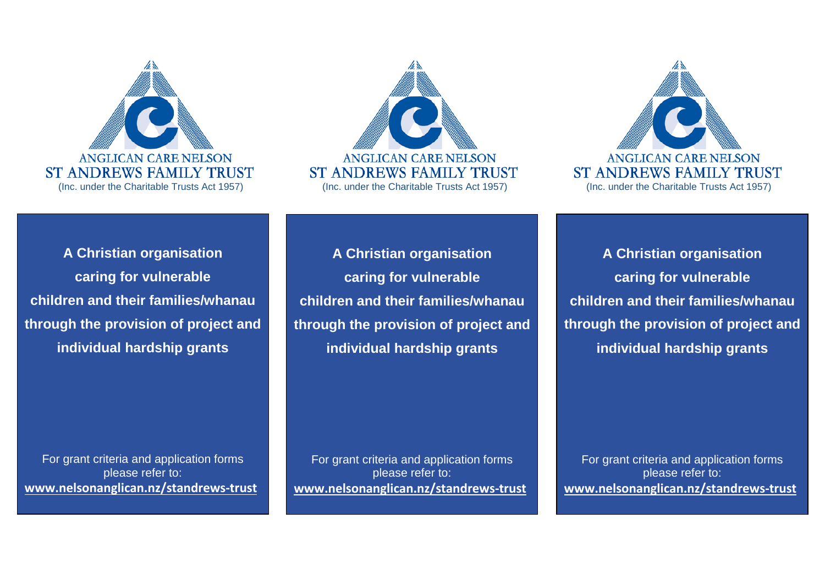

**A Christian organisation caring for vulnerable children and their families/whanau through the provision of project and individual hardship grants**

For grant criteria and application forms please refer to: **[www.nelsonanglican.nz/standrews-trust](http://www.nelsonanglican.nz/standrews-trust)**